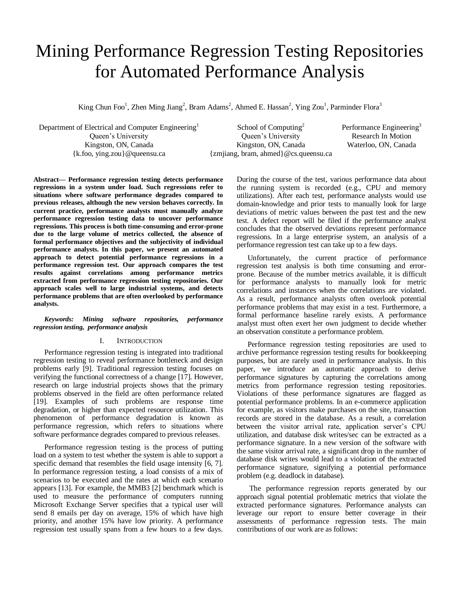# Mining Performance Regression Testing Repositories for Automated Performance Analysis

King Chun Foo<sup>1</sup>, Zhen Ming Jiang<sup>2</sup>, Bram Adams<sup>2</sup>, Ahmed E. Hassan<sup>2</sup>, Ying Zou<sup>1</sup>, Parminder Flora<sup>3</sup>

Department of Electrical and Computer Engineering<sup>1</sup> Queen's University Kingston, ON, Canada {k.foo, ying.zou}@queensu.ca

School of Computing<sup>2</sup> Queen's University Kingston, ON, Canada {zmjiang, bram, ahmed}@cs.queensu.ca Performance Engineering<sup>3</sup> Research In Motion Waterloo, ON, Canada

**Abstract— Performance regression testing detects performance regressions in a system under load. Such regressions refer to situations where software performance degrades compared to previous releases, although the new version behaves correctly. In current practice, performance analysts must manually analyze performance regression testing data to uncover performance regressions. This process is both time-consuming and error-prone due to the large volume of metrics collected, the absence of formal performance objectives and the subjectivity of individual performance analysts. In this paper, we present an automated approach to detect potential performance regressions in a performance regression test. Our approach compares the test results against correlations among performance metrics extracted from performance regression testing repositories. Our approach scales well to large industrial systems, and detects performance problems that are often overlooked by performance analysts.**

### *Keywords: Mining software repositories, performance regression testing, performance analysis*

#### I. INTRODUCTION

Performance regression testing is integrated into traditional regression testing to reveal performance bottleneck and design problems early [9]. Traditional regression testing focuses on verifying the functional correctness of a change [17]. However, research on large industrial projects shows that the primary problems observed in the field are often performance related [19]. Examples of such problems are response time degradation, or higher than expected resource utilization. This phenomenon of performance degradation is known as performance regression, which refers to situations where software performance degrades compared to previous releases.

Performance regression testing is the process of putting load on a system to test whether the system is able to support a specific demand that resembles the field usage intensity [6, 7]. In performance regression testing, a load consists of a mix of scenarios to be executed and the rates at which each scenario appears [13]. For example, the MMB3 [2] benchmark which is used to measure the performance of computers running Microsoft Exchange Server specifies that a typical user will send 8 emails per day on average, 15% of which have high priority, and another 15% have low priority. A performance regression test usually spans from a few hours to a few days.

During the course of the test, various performance data about the running system is recorded (e.g., CPU and memory utilizations). After each test, performance analysts would use domain-knowledge and prior tests to manually look for large deviations of metric values between the past test and the new test. A defect report will be filed if the performance analyst concludes that the observed deviations represent performance regressions. In a large enterprise system, an analysis of a performance regression test can take up to a few days.

Unfortunately, the current practice of performance regression test analysis is both time consuming and errorprone. Because of the number metrics available, it is difficult for performance analysts to manually look for metric correlations and instances when the correlations are violated. As a result, performance analysts often overlook potential performance problems that may exist in a test. Furthermore, a formal performance baseline rarely exists. A performance analyst must often exert her own judgment to decide whether an observation constitute a performance problem.

Performance regression testing repositories are used to archive performance regression testing results for bookkeeping purposes, but are rarely used in performance analysis. In this paper, we introduce an automatic approach to derive performance signatures by capturing the correlations among metrics from performance regression testing repositories. Violations of these performance signatures are flagged as potential performance problems. In an e-commerce application for example, as visitors make purchases on the site, transaction records are stored in the database. As a result, a correlation between the visitor arrival rate, application server's CPU utilization, and database disk writes/sec can be extracted as a performance signature. In a new version of the software with the same visitor arrival rate, a significant drop in the number of database disk writes would lead to a violation of the extracted performance signature, signifying a potential performance problem (e.g. deadlock in database).

The performance regression reports generated by our approach signal potential problematic metrics that violate the extracted performance signatures. Performance analysts can leverage our report to ensure better coverage in their assessments of performance regression tests. The main contributions of our work are as follows: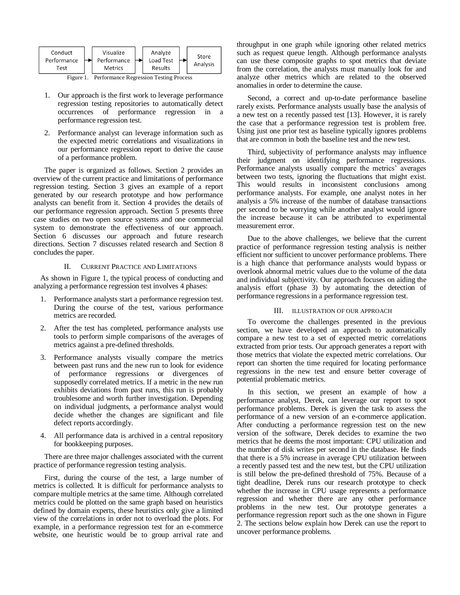| Conduct<br>Performance<br>Test |        | Visualize<br>Performance<br>Metrics | Analyze<br><b>Load Test</b><br>Results | Store<br>Analysis |
|--------------------------------|--------|-------------------------------------|----------------------------------------|-------------------|
| --                             | $\sim$ | $-$                                 |                                        |                   |

Figure 1. Performance Regression Testing Process

- 1. Our approach is the first work to leverage performance regression testing repositories to automatically detect occurrences of performance regression in a performance regression test.
- 2. Performance analyst can leverage information such as the expected metric correlations and visualizations in our performance regression report to derive the cause of a performance problem.

The paper is organized as follows. Section 2 provides an overview of the current practice and limitations of performance regression testing. Section 3 gives an example of a report generated by our research prototype and how performance analysts can benefit from it. Section 4 provides the details of our performance regression approach. Section 5 presents three case studies on two open source systems and one commercial system to demonstrate the effectiveness of our approach. Section 6 discusses our approach and future research directions. Section 7 discusses related research and Section 8 concludes the paper.

#### II. CURRENT PRACTICE AND LIMITATIONS

As shown in Figure 1, the typical process of conducting and analyzing a performance regression test involves 4 phases:

- 1. Performance analysts start a performance regression test. During the course of the test, various performance metrics are recorded.
- 2. After the test has completed, performance analysts use tools to perform simple comparisons of the averages of metrics against a pre-defined thresholds.
- 3. Performance analysts visually compare the metrics between past runs and the new run to look for evidence of performance regressions or divergences of supposedly correlated metrics. If a metric in the new run exhibits deviations from past runs, this run is probably troublesome and worth further investigation. Depending on individual judgments, a performance analyst would decide whether the changes are significant and file defect reports accordingly.
- 4. All performance data is archived in a central repository for bookkeeping purposes.

There are three major challenges associated with the current practice of performance regression testing analysis.

First, during the course of the test, a large number of metrics is collected. It is difficult for performance analysts to compare multiple metrics at the same time. Although correlated metrics could be plotted on the same graph based on heuristics defined by domain experts, these heuristics only give a limited view of the correlations in order not to overload the plots. For example, in a performance regression test for an e-commerce website, one heuristic would be to group arrival rate and

throughput in one graph while ignoring other related metrics such as request queue length. Although performance analysts can use these composite graphs to spot metrics that deviate from the correlation, the analysts must manually look for and analyze other metrics which are related to the observed anomalies in order to determine the cause.

Second, a correct and up-to-date performance baseline rarely exists. Performance analysts usually base the analysis of a new test on a recently passed test [13]. However, it is rarely the case that a performance regression test is problem free. Using just one prior test as baseline typically ignores problems that are common in both the baseline test and the new test.

Third, subjectivity of performance analysts may influence their judgment on identifying performance regressions. Performance analysts usually compare the metrics' averages between two tests, ignoring the fluctuations that might exist. This would results in inconsistent conclusions among performance analysts. For example, one analyst notes in her analysis a 5% increase of the number of database transactions per second to be worrying while another analyst would ignore the increase because it can be attributed to experimental measurement error.

Due to the above challenges, we believe that the current practice of performance regression testing analysis is neither efficient nor sufficient to uncover performance problems. There is a high chance that performance analysts would bypass or overlook abnormal metric values due to the volume of the data and individual subjectivity. Our approach focuses on aiding the analysis effort (phase 3) by automating the detection of performance regressions in a performance regression test.

#### III. ILLUSTRATION OF OUR APPROACH

To overcome the challenges presented in the previous section, we have developed an approach to automatically compare a new test to a set of expected metric correlations extracted from prior tests. Our approach generates a report with those metrics that violate the expected metric correlations. Our report can shorten the time required for locating performance regressions in the new test and ensure better coverage of potential problematic metrics.

In this section, we present an example of how a performance analyst, Derek, can leverage our report to spot performance problems. Derek is given the task to assess the performance of a new version of an e-commerce application. After conducting a performance regression test on the new version of the software, Derek decides to examine the two metrics that he deems the most important: CPU utilization and the number of disk writes per second in the database. He finds that there is a 5% increase in average CPU utilization between a recently passed test and the new test, but the CPU utilization is still below the pre-defined threshold of 75%. Because of a tight deadline, Derek runs our research prototype to check whether the increase in CPU usage represents a performance regression and whether there are any other performance problems in the new test. Our prototype generates a performance regression report such as the one shown in Figure 2. The sections below explain how Derek can use the report to uncover performance problems.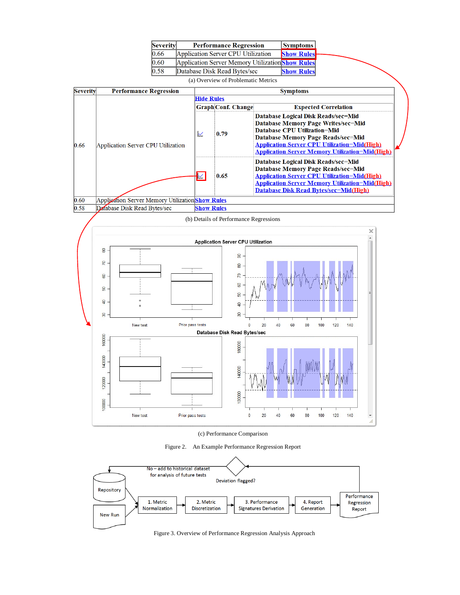| <b>Severity</b> | <b>Performance Regression</b>                    | <b>Symptoms</b>   |
|-----------------|--------------------------------------------------|-------------------|
| 0.66            | Application Server CPU Utilization               | <b>Show Rules</b> |
| 0.60            | Application Server Memory Utilization Show Rules |                   |
| 0.58            | Database Disk Read Bytes/sec                     | <b>Show Rules</b> |

|  | (a) Overview of Problematic Metrics |  |
|--|-------------------------------------|--|
|--|-------------------------------------|--|

| <b>Severity</b> | <b>Performance Regression</b>                    |                   |                           | <b>Symptoms</b>                                                                                                                                                                                                                                                          |  |  |
|-----------------|--------------------------------------------------|-------------------|---------------------------|--------------------------------------------------------------------------------------------------------------------------------------------------------------------------------------------------------------------------------------------------------------------------|--|--|
|                 |                                                  |                   | <b>Hide Rules</b>         |                                                                                                                                                                                                                                                                          |  |  |
|                 |                                                  |                   | <b>Graph Conf. Change</b> | <b>Expected Correlation</b>                                                                                                                                                                                                                                              |  |  |
| 0.66            | Application Server CPU Utilization               | $\overline{\sim}$ | 0.79                      | Database Logical Disk Reads/sec=Mid<br>Database Memory Page Writes/sec=Mid<br><b>Database CPU Utilization=Mid</b><br>Database Memory Page Reads/sec=Mid<br><b>Application Server CPU Utilization=Mid(High)</b><br><b>Application Server Memory Utilization=Mid(High)</b> |  |  |
|                 |                                                  |                   | 0.65                      | Database Logical Disk Reads/sec=Mid<br><b>Database Memory Page Reads/sec=Mid</b><br><b>Application Server CPU Utilization=Mid(High)</b><br><b>Application Server Memory Utilization=Mid(High)</b><br><b>Database Disk Read Bytes/sec=Mid(High)</b>                       |  |  |
| 0.60            | Application Server Memory Utilization Show Rules |                   |                           |                                                                                                                                                                                                                                                                          |  |  |
| 0.58            | Database Disk Read Bytes/sec                     | <b>Show Rules</b> |                           |                                                                                                                                                                                                                                                                          |  |  |



(c) Performance Comparison

Figure 2. An Example Performance Regression Report



Figure 3. Overview of Performance Regression Analysis Approach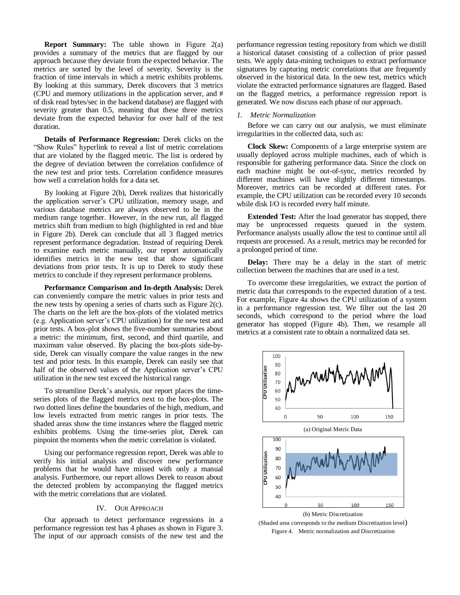**Report Summary:** The table shown in Figure 2(a) provides a summary of the metrics that are flagged by our approach because they deviate from the expected behavior. The metrics are sorted by the level of severity. Severity is the fraction of time intervals in which a metric exhibits problems. By looking at this summary, Derek discovers that 3 metrics (CPU and memory utilizations in the application server, and # of disk read bytes/sec in the backend database) are flagged with severity greater than 0.5, meaning that these three metrics deviate from the expected behavior for over half of the test duration.

**Details of Performance Regression:** Derek clicks on the "Show Rules" hyperlink to reveal a list of metric correlations that are violated by the flagged metric. The list is ordered by the degree of deviation between the correlation confidence of the new test and prior tests. Correlation confidence measures how well a correlation holds for a data set.

By looking at Figure 2(b), Derek realizes that historically the application server's CPU utilization, memory usage, and various database metrics are always observed to be in the medium range together. However, in the new run, all flagged metrics shift from medium to high (highlighted in red and blue in Figure 2b). Derek can conclude that all 3 flagged metrics represent performance degradation. Instead of requiring Derek to examine each metric manually, our report automatically identifies metrics in the new test that show significant deviations from prior tests. It is up to Derek to study these metrics to conclude if they represent performance problems.

**Performance Comparison and In-depth Analysis:** Derek can conveniently compare the metric values in prior tests and the new tests by opening a series of charts such as Figure 2(c). The charts on the left are the box-plots of the violated metrics (e.g. Application server's CPU utilization) for the new test and prior tests. A box-plot shows the five-number summaries about a metric: the minimum, first, second, and third quartile, and maximum value observed. By placing the box-plots side-byside, Derek can visually compare the value ranges in the new test and prior tests. In this example, Derek can easily see that half of the observed values of the Application server's CPU utilization in the new test exceed the historical range.

To streamline Derek's analysis, our report places the timeseries plots of the flagged metrics next to the box-plots. The two dotted lines define the boundaries of the high, medium, and low levels extracted from metric ranges in prior tests. The shaded areas show the time instances where the flagged metric exhibits problems. Using the time-series plot, Derek can pinpoint the moments when the metric correlation is violated.

Using our performance regression report, Derek was able to verify his initial analysis and discover new performance problems that he would have missed with only a manual analysis. Furthermore, our report allows Derek to reason about the detected problem by accompanying the flagged metrics with the metric correlations that are violated.

## IV. OUR APPROACH

Our approach to detect performance regressions in a performance regression test has 4 phases as shown in Figure 3. The input of our approach consists of the new test and the performance regression testing repository from which we distill a historical dataset consisting of a collection of prior passed tests. We apply data-mining techniques to extract performance signatures by capturing metric correlations that are frequently observed in the historical data. In the new test, metrics which violate the extracted performance signatures are flagged. Based on the flagged metrics, a performance regression report is generated. We now discuss each phase of our approach.

#### *1. Metric Normalization*

Before we can carry out our analysis, we must eliminate irregularities in the collected data, such as:

**Clock Skew:** Components of a large enterprise system are usually deployed across multiple machines, each of which is responsible for gathering performance data. Since the clock on each machine might be out-of-sync, metrics recorded by different machines will have slightly different timestamps. Moreover, metrics can be recorded at different rates. For example, the CPU utilization can be recorded every 10 seconds while disk I/O is recorded every half minute.

**Extended Test:** After the load generator has stopped, there may be unprocessed requests queued in the system. Performance analysts usually allow the test to continue until all requests are processed. As a result, metrics may be recorded for a prolonged period of time.

**Delay:** There may be a delay in the start of metric collection between the machines that are used in a test.

To overcome these irregularities, we extract the portion of metric data that corresponds to the expected duration of a test. For example, Figure 4a shows the CPU utilization of a system in a performance regression test. We filter out the last 20 seconds, which correspond to the period where the load generator has stopped (Figure 4b). Then, we resample all metrics at a consistent rate to obtain a normalized data set.



(Shaded area corresponds to the medium Discretization level) Figure 4. Metric normalization and Discretization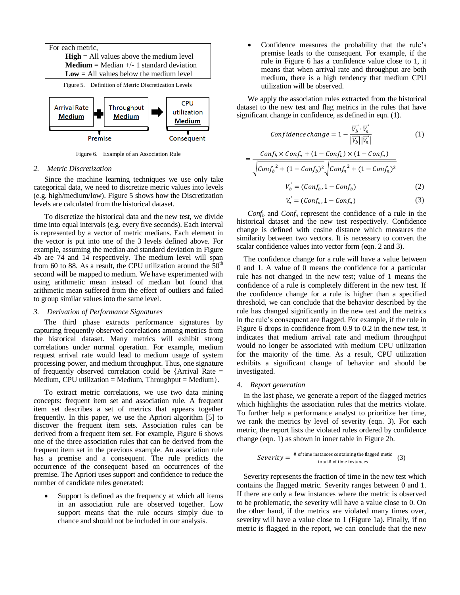

Figure 6. Example of an Association Rule

#### *2. Metric Discretization*

Since the machine learning techniques we use only take categorical data, we need to discretize metric values into levels (e.g. high/medium/low). Figure 5 shows how the Discretization levels are calculated from the historical dataset.

To discretize the historical data and the new test, we divide time into equal intervals (e.g. every five seconds). Each interval is represented by a vector of metric medians. Each element in the vector is put into one of the 3 levels defined above. For example, assuming the median and standard deviation in Figure 4b are 74 and 14 respectively. The medium level will span from 60 to 88. As a result, the CPU utilization around the  $50<sup>th</sup>$ second will be mapped to medium. We have experimented with using arithmetic mean instead of median but found that arithmetic mean suffered from the effect of outliers and failed to group similar values into the same level.

#### *3. Derivation of Performance Signatures*

The third phase extracts performance signatures by capturing frequently observed correlations among metrics from the historical dataset. Many metrics will exhibit strong correlations under normal operation. For example, medium request arrival rate would lead to medium usage of system processing power, and medium throughput. Thus, one signature of frequently observed correlation could be {Arrival Rate = Medium, CPU utilization = Medium, Throughput = Medium.

To extract metric correlations, we use two data mining concepts: frequent item set and association rule. A frequent item set describes a set of metrics that appears together frequently. In this paper, we use the Apriori algorithm [5] to discover the frequent item sets. Association rules can be derived from a frequent item set. For example, Figure 6 shows one of the three association rules that can be derived from the frequent item set in the previous example. An association rule has a premise and a consequent. The rule predicts the occurrence of the consequent based on occurrences of the premise. The Apriori uses support and confidence to reduce the number of candidate rules generated:

 Support is defined as the frequency at which all items in an association rule are observed together. Low support means that the rule occurs simply due to chance and should not be included in our analysis.

 Confidence measures the probability that the rule's premise leads to the consequent. For example, if the rule in Figure 6 has a confidence value close to 1, it means that when arrival rate and throughput are both medium, there is a high tendency that medium CPU utilization will be observed.

We apply the association rules extracted from the historical dataset to the new test and flag metrics in the rules that have significant change in confidence, as defined in eqn. (1).

Confidence change = 
$$
1 - \frac{\overrightarrow{V_b} \cdot \overrightarrow{V_n}}{|\overrightarrow{V_b}||\overrightarrow{V_n}|}
$$
 (1)

$$
= \frac{Conf_b \times Conf_n + (1 - Conf_b) \times (1 - Conf_n)}{\sqrt{Conf_b^2 + (1 - Conf_b)^2} \sqrt{Conf_a^2 + (1 - Conf_n)^2}}
$$
  

$$
\overrightarrow{V_b} = (Conf_b, 1 - Conf_b)
$$
 (2)

$$
\overrightarrow{V_n} = (Conf_n, 1 - Conf_n) \tag{3}
$$

*Conf<sup>b</sup>* and *Conf<sup>n</sup>* represent the confidence of a rule in the historical dataset and the new test respectively. Confidence change is defined with cosine distance which measures the similarity between two vectors. It is necessary to convert the scalar confidence values into vector form (eqn. 2 and 3).

The confidence change for a rule will have a value between 0 and 1. A value of 0 means the confidence for a particular rule has not changed in the new test; value of 1 means the confidence of a rule is completely different in the new test. If the confidence change for a rule is higher than a specified threshold, we can conclude that the behavior described by the rule has changed significantly in the new test and the metrics in the rule's consequent are flagged. For example, if the rule in Figure 6 drops in confidence from 0.9 to 0.2 in the new test, it indicates that medium arrival rate and medium throughput would no longer be associated with medium CPU utilization for the majority of the time. As a result, CPU utilization exhibits a significant change of behavior and should be investigated.

### *4. Report generation*

In the last phase, we generate a report of the flagged metrics which highlights the association rules that the metrics violate. To further help a performance analyst to prioritize her time, we rank the metrics by level of severity (eqn. 3). For each metric, the report lists the violated rules ordered by confidence change (eqn. 1) as shown in inner table in Figure 2b.

$$
Severity = \frac{\text{\# of time instances containing the flagged metric}}{\text{total \# of time instances}}
$$
 (3)

Severity represents the fraction of time in the new test which contains the flagged metric. Severity ranges between 0 and 1. If there are only a few instances where the metric is observed to be problematic, the severity will have a value close to 0. On the other hand, if the metrics are violated many times over, severity will have a value close to 1 (Figure 1a). Finally, if no metric is flagged in the report, we can conclude that the new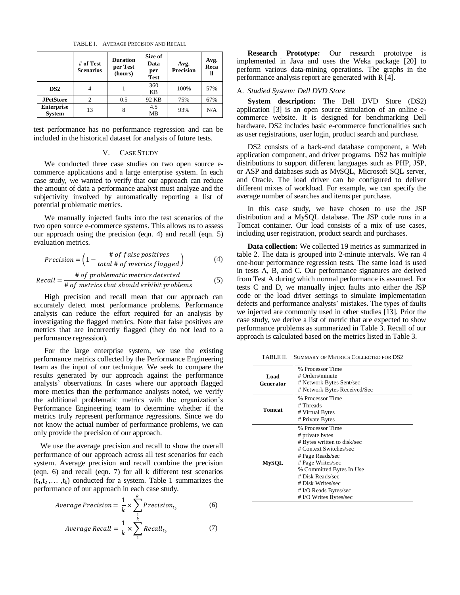TABLE I. AVERAGE PRECISION AND RECALL

|                                    | # of Test<br><b>Scenarios</b> | <b>Duration</b><br>per Test<br>(hours) | Size of<br>Data<br>per<br><b>Test</b> | Avg.<br><b>Precision</b> | Avg.<br>Reca<br>П |
|------------------------------------|-------------------------------|----------------------------------------|---------------------------------------|--------------------------|-------------------|
| DS <sub>2</sub>                    |                               |                                        | 360<br>KB                             | 100%                     | 57%               |
| <b>JPetStore</b>                   |                               | 0.5                                    | 92 KB                                 | 75%                      | 67%               |
| <b>Enterprise</b><br><b>System</b> | 13                            |                                        | 4.5<br>MB                             | 93%                      | N/A               |

test performance has no performance regression and can be included in the historical dataset for analysis of future tests.

#### V. CASE STUDY

We conducted three case studies on two open source ecommerce applications and a large enterprise system. In each case study, we wanted to verify that our approach can reduce the amount of data a performance analyst must analyze and the subjectivity involved by automatically reporting a list of potential problematic metrics.

We manually injected faults into the test scenarios of the two open source e-commerce systems. This allows us to assess our approach using the precision (eqn. 4) and recall (eqn. 5) evaluation metrics.

$$
Precision = \left(1 - \frac{\text{# of false positives}}{\text{total # of metrics flagged}}\right) \tag{4}
$$

$$
Recall = \frac{\# \text{ of problematic metrics detected}}{\# \text{ of metrics that should exhibit problems}} \tag{5}
$$

High precision and recall mean that our approach can accurately detect most performance problems. Performance analysts can reduce the effort required for an analysis by investigating the flagged metrics. Note that false positives are metrics that are incorrectly flagged (they do not lead to a performance regression).

For the large enterprise system, we use the existing performance metrics collected by the Performance Engineering team as the input of our technique. We seek to compare the results generated by our approach against the performance analysts' observations. In cases where our approach flagged more metrics than the performance analysts noted, we verify the additional problematic metrics with the organization's Performance Engineering team to determine whether if the metrics truly represent performance regressions. Since we do not know the actual number of performance problems, we can only provide the precision of our approach.

We use the average precision and recall to show the overall performance of our approach across all test scenarios for each system. Average precision and recall combine the precision (eqn. 6) and recall (eqn. 7) for all k different test scenarios  $(t_1, t_2, \ldots, t_k)$  conducted for a system. Table 1 summarizes the performance of our approach in each case study.

$$
Average Precision = \frac{1}{k} \times \sum_{1}^{k} Precision_{t_k}
$$
 (6)

$$
Average Recall = \frac{1}{k} \times \sum_{1}^{k} Recall_{t_k}
$$
 (7)

**Research Prototype:** Our research prototype is implemented in Java and uses the Weka package [20] to perform various data-mining operations. The graphs in the performance analysis report are generated with R [4].

### A. *Studied System: Dell DVD Store*

**System description:** The Dell DVD Store (DS2) application [3] is an open source simulation of an online ecommerce website. It is designed for benchmarking Dell hardware. DS2 includes basic e-commerce functionalities such as user registrations, user login, product search and purchase.

DS2 consists of a back-end database component, a Web application component, and driver programs. DS2 has multiple distributions to support different languages such as PHP, JSP, or ASP and databases such as MySQL, Microsoft SQL server, and Oracle. The load driver can be configured to deliver different mixes of workload. For example, we can specify the average number of searches and items per purchase.

In this case study, we have chosen to use the JSP distribution and a MySQL database. The JSP code runs in a Tomcat container. Our load consists of a mix of use cases, including user registration, product search and purchases.

**Data collection:** We collected 19 metrics as summarized in table 2. The data is grouped into 2-minute intervals. We ran 4 one-hour performance regression tests. The same load is used in tests A, B, and C. Our performance signatures are derived from Test A during which normal performance is assumed. For tests C and D, we manually inject faults into either the JSP code or the load driver settings to simulate implementation defects and performance analysts' mistakes. The types of faults we injected are commonly used in other studies [13]. Prior the case study, we derive a list of metric that are expected to show performance problems as summarized in Table 3. Recall of our approach is calculated based on the metrics listed in Table 3.

TABLE II. SUMMARY OF METRICS COLLECTED FOR DS2

| Load<br>Generator | % Processor Time<br># Orders/minute<br># Network Bytes Sent/sec<br># Network Bytes Received/Sec                                                                                                                                                              |
|-------------------|--------------------------------------------------------------------------------------------------------------------------------------------------------------------------------------------------------------------------------------------------------------|
| Tomcat            | % Processor Time<br>#Threads<br># Virtual Bytes<br># Private Bytes                                                                                                                                                                                           |
| <b>MySQL</b>      | % Processor Time<br># private bytes<br># Bytes written to disk/sec<br># Context Switches/sec<br># Page Reads/sec<br># Page Writes/sec<br>% Committed Bytes In Use<br># Disk Reads/sec<br># Disk Writes/sec<br># I/O Reads Bytes/sec<br>#I/O Writes Bytes/sec |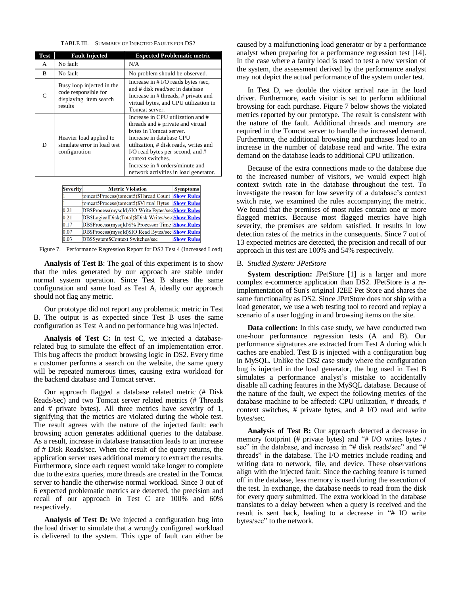| SUMMARY OF INJECTED FAULTS FOR DS2<br>TABLE III. |  |
|--------------------------------------------------|--|
|--------------------------------------------------|--|

| <b>Test</b> | <b>Fault Injected</b>                                                                  | <b>Expected Problematic metric</b>                                                                                                                                                                                                                                                                          |
|-------------|----------------------------------------------------------------------------------------|-------------------------------------------------------------------------------------------------------------------------------------------------------------------------------------------------------------------------------------------------------------------------------------------------------------|
| A           | No fault                                                                               | N/A                                                                                                                                                                                                                                                                                                         |
| B           | No fault                                                                               | No problem should be observed.                                                                                                                                                                                                                                                                              |
| C           | Busy loop injected in the<br>code responsible for<br>displaying item search<br>results | Increase in $# I/O$ reads bytes /sec,<br>and # disk read/sec in database<br>Increase in # threads, # private and<br>virtual bytes, and CPU utilization in<br>Tomcat server.                                                                                                                                 |
| D           | Heavier load applied to<br>simulate error in load test<br>configuration                | Increase in CPU utilization and #<br>threads and # private and virtual<br>bytes in Tomcat server.<br>Increase in database CPU<br>utilization, # disk reads, writes and<br>I/O read bytes per second, and #<br>context switches.<br>Increase in # orders/minute and<br>network activities in load generator. |

| Severity          | <b>Metric Violation</b>                            | <b>Symptoms</b>   |
|-------------------|----------------------------------------------------|-------------------|
|                   | tomcat5Process(tomcat5)\$Thread Count              | <b>Show Rules</b> |
|                   | tomcat5Process(tomcat5)\$Virtual Bytes             | <b>Show Rules</b> |
| 0.21              | DB\$Process(mysqld)\$IO Write Bytes/secShow Rules  |                   |
| 0.21              | DB\$LogicalDisk(Total)\$Disk Writes/sec Show Rules |                   |
| $\overline{0}$ 17 | DB\$Process(mysqld)\$% Processor Time Show Rules   |                   |
| 0.07              | DB\$Process(mysqld)\$IO Read Bytes/sec Show Rules  |                   |
| $ 0.03\rangle$    | DB\$System\$Context Switches/sec                   | <b>Show Rules</b> |

Figure 7. Performance Regression Report for DS2 Test 4 (Increased Load)

**Analysis of Test B**: The goal of this experiment is to show that the rules generated by our approach are stable under normal system operation. Since Test B shares the same configuration and same load as Test A, ideally our approach should not flag any metric.

Our prototype did not report any problematic metric in Test B. The output is as expected since Test B uses the same configuration as Test A and no performance bug was injected.

**Analysis of Test C:** In test C, we injected a databaserelated bug to simulate the effect of an implementation error. This bug affects the product browsing logic in DS2. Every time a customer performs a search on the website, the same query will be repeated numerous times, causing extra workload for the backend database and Tomcat server.

Our approach flagged a database related metric (# Disk Reads/sec) and two Tomcat server related metrics (# Threads and # private bytes). All three metrics have severity of 1, signifying that the metrics are violated during the whole test. The result agrees with the nature of the injected fault: each browsing action generates additional queries to the database. As a result, increase in database transaction leads to an increase of # Disk Reads/sec. When the result of the query returns, the application server uses additional memory to extract the results. Furthermore, since each request would take longer to complete due to the extra queries, more threads are created in the Tomcat server to handle the otherwise normal workload. Since 3 out of 6 expected problematic metrics are detected, the precision and recall of our approach in Test C are 100% and 60% respectively.

**Analysis of Test D:** We injected a configuration bug into the load driver to simulate that a wrongly configured workload is delivered to the system. This type of fault can either be caused by a malfunctioning load generator or by a performance analyst when preparing for a performance regression test [14]. In the case where a faulty load is used to test a new version of the system, the assessment derived by the performance analyst may not depict the actual performance of the system under test.

In Test D, we double the visitor arrival rate in the load driver. Furthermore, each visitor is set to perform additional browsing for each purchase. Figure 7 below shows the violated metrics reported by our prototype. The result is consistent with the nature of the fault. Additional threads and memory are required in the Tomcat server to handle the increased demand. Furthermore, the additional browsing and purchases lead to an increase in the number of database read and write. The extra demand on the database leads to additional CPU utilization.

Because of the extra connections made to the database due to the increased number of visitors, we would expect high context switch rate in the database throughout the test. To investigate the reason for low severity of a database's context switch rate, we examined the rules accompanying the metric. We found that the premises of most rules contain one or more flagged metrics. Because most flagged metrics have high severity, the premises are seldom satisfied. It results in low detection rates of the metrics in the consequents. Since 7 out of 13 expected metrics are detected, the precision and recall of our approach in this test are 100% and 54% respectively.

#### B. *Studied System: JPetStore*

**System description:** JPetStore [1] is a larger and more complex e-commerce application than DS2. JPetStore is a reimplementation of Sun's original J2EE Pet Store and shares the same functionality as DS2. Since JPetStore does not ship with a load generator, we use a web testing tool to record and replay a scenario of a user logging in and browsing items on the site.

**Data collection:** In this case study, we have conducted two one-hour performance regression tests (A and B). Our performance signatures are extracted from Test A during which caches are enabled. Test B is injected with a configuration bug in MySQL. Unlike the DS2 case study where the configuration bug is injected in the load generator, the bug used in Test B simulates a performance analyst's mistake to accidentally disable all caching features in the MySQL database. Because of the nature of the fault, we expect the following metrics of the database machine to be affected: CPU utilization, # threads, # context switches, # private bytes, and # I/O read and write bytes/sec.

**Analysis of Test B:** Our approach detected a decrease in memory footprint (# private bytes) and "# I/O writes bytes / sec" in the database, and increase in "# disk reads/sec" and "# threads" in the database. The I/O metrics include reading and writing data to network, file, and device. These observations align with the injected fault: Since the caching feature is turned off in the database, less memory is used during the execution of the test. In exchange, the database needs to read from the disk for every query submitted. The extra workload in the database translates to a delay between when a query is received and the result is sent back, leading to a decrease in "# IO write bytes/sec" to the network.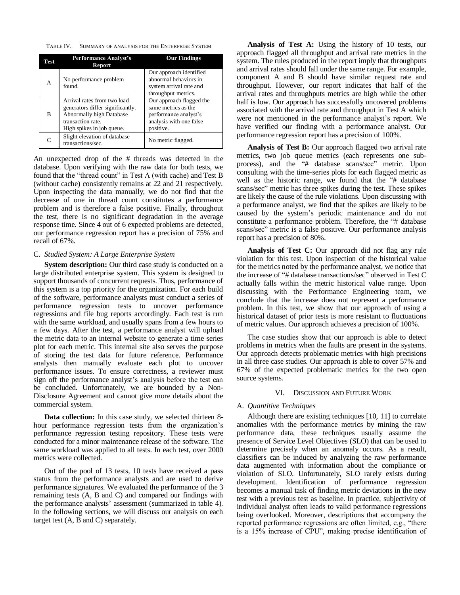TABLE IV. SUMMARY OF ANALYSIS FOR THE ENTERPRISE SYSTEM

| <b>Test</b> | <b>Performance Analyst's</b><br><b>Report</b>                                                                                                        | <b>Our Findings</b>                                                                                              |
|-------------|------------------------------------------------------------------------------------------------------------------------------------------------------|------------------------------------------------------------------------------------------------------------------|
| A           | No performance problem<br>found.                                                                                                                     | Our approach identified<br>abnormal behaviors in<br>system arrival rate and<br>throughput metrics.               |
| B           | Arrival rates from two load<br>generators differ significantly.<br><b>Abnormally high Database</b><br>transaction rate.<br>High spikes in job queue. | Our approach flagged the<br>same metrics as the<br>performance analyst's<br>analysis with one false<br>positive. |
| C           | Slight elevation of database<br>transactions/sec.                                                                                                    | No metric flagged.                                                                                               |

An unexpected drop of the # threads was detected in the database. Upon verifying with the raw data for both tests, we found that the "thread count" in Test A (with cache) and Test B (without cache) consistently remains at 22 and 21 respectively. Upon inspecting the data manually, we do not find that the decrease of one in thread count constitutes a performance problem and is therefore a false positive. Finally, throughout the test, there is no significant degradation in the average response time. Since 4 out of 6 expected problems are detected, our performance regression report has a precision of 75% and recall of 67%.

### C. *Studied System: A Large Enterprise System*

System description: Our third case study is conducted on a large distributed enterprise system. This system is designed to support thousands of concurrent requests. Thus, performance of this system is a top priority for the organization. For each build of the software, performance analysts must conduct a series of performance regression tests to uncover performance regressions and file bug reports accordingly. Each test is run with the same workload, and usually spans from a few hours to a few days. After the test, a performance analyst will upload the metric data to an internal website to generate a time series plot for each metric. This internal site also serves the purpose of storing the test data for future reference. Performance analysts then manually evaluate each plot to uncover performance issues. To ensure correctness, a reviewer must sign off the performance analyst's analysis before the test can be concluded. Unfortunately, we are bounded by a Non-Disclosure Agreement and cannot give more details about the commercial system.

**Data collection:** In this case study, we selected thirteen 8 hour performance regression tests from the organization's performance regression testing repository. These tests were conducted for a minor maintenance release of the software. The same workload was applied to all tests. In each test, over 2000 metrics were collected.

Out of the pool of 13 tests, 10 tests have received a pass status from the performance analysts and are used to derive performance signatures. We evaluated the performance of the 3 remaining tests (A, B and C) and compared our findings with the performance analysts' assessment (summarized in table 4). In the following sections, we will discuss our analysis on each target test (A, B and C) separately.

**Analysis of Test A:** Using the history of 10 tests, our approach flagged all throughput and arrival rate metrics in the system. The rules produced in the report imply that throughputs and arrival rates should fall under the same range. For example, component A and B should have similar request rate and throughput. However, our report indicates that half of the arrival rates and throughputs metrics are high while the other half is low. Our approach has successfully uncovered problems associated with the arrival rate and throughput in Test A which were not mentioned in the performance analyst's report. We have verified our finding with a performance analyst. Our performance regression report has a precision of 100%.

Analysis of Test B: Our approach flagged two arrival rate metrics, two job queue metrics (each represents one subprocess), and the "# database scans/sec" metric. Upon consulting with the time-series plots for each flagged metric as well as the historic range, we found that the "# database" scans/sec" metric has three spikes during the test. These spikes are likely the cause of the rule violations. Upon discussing with a performance analyst, we find that the spikes are likely to be caused by the system's periodic maintenance and do not constitute a performance problem. Therefore, the "# database scans/sec" metric is a false positive. Our performance analysis report has a precision of 80%.

**Analysis of Test C:** Our approach did not flag any rule violation for this test. Upon inspection of the historical value for the metrics noted by the performance analyst, we notice that the increase of "# database transactions/sec" observed in Test C actually falls within the metric historical value range. Upon discussing with the Performance Engineering team, we conclude that the increase does not represent a performance problem. In this test, we show that our approach of using a historical dataset of prior tests is more resistant to fluctuations of metric values. Our approach achieves a precision of 100%.

The case studies show that our approach is able to detect problems in metrics when the faults are present in the systems. Our approach detects problematic metrics with high precisions in all three case studies. Our approach is able to cover 57% and 67% of the expected problematic metrics for the two open source systems.

### VI. DISCUSSION AND FUTURE WORK

#### A. *Quantitive Techniques*

Although there are existing techniques [10, 11] to correlate anomalies with the performance metrics by mining the raw performance data, these techniques usually assume the presence of Service Level Objectives (SLO) that can be used to determine precisely when an anomaly occurs. As a result, classifiers can be induced by analyzing the raw performance data augmented with information about the compliance or violation of SLO. Unfortunately, SLO rarely exists during development. Identification of performance regression becomes a manual task of finding metric deviations in the new test with a previous test as baseline. In practice, subjectivity of individual analyst often leads to valid performance regressions being overlooked. Moreover, descriptions that accompany the reported performance regressions are often limited, e.g., "there is a 15% increase of CPU", making precise identification of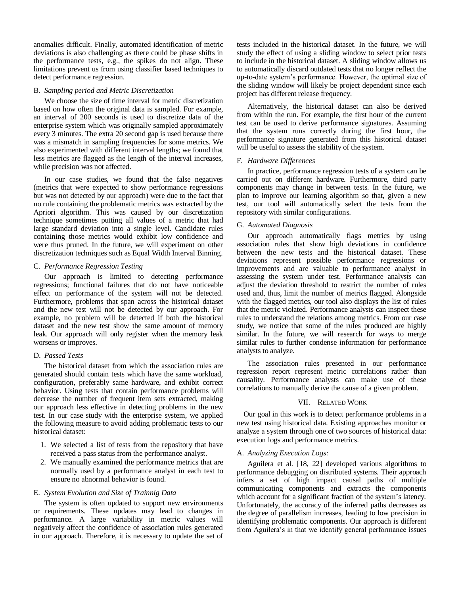anomalies difficult. Finally, automated identification of metric deviations is also challenging as there could be phase shifts in the performance tests, e.g., the spikes do not align. These limitations prevent us from using classifier based techniques to detect performance regression.

#### B. *Sampling period and Metric Discretization*

We choose the size of time interval for metric discretization based on how often the original data is sampled. For example, an interval of 200 seconds is used to discretize data of the enterprise system which was originally sampled approximately every 3 minutes. The extra 20 second gap is used because there was a mismatch in sampling frequencies for some metrics. We also experimented with different interval lengths; we found that less metrics are flagged as the length of the interval increases, while precision was not affected.

In our case studies, we found that the false negatives (metrics that were expected to show performance regressions but was not detected by our approach) were due to the fact that no rule containing the problematic metrics was extracted by the Apriori algorithm. This was caused by our discretization technique sometimes putting all values of a metric that had large standard deviation into a single level. Candidate rules containing those metrics would exhibit low confidence and were thus pruned. In the future, we will experiment on other discretization techniques such as Equal Width Interval Binning.

#### C. *Performance Regression Testing*

Our approach is limited to detecting performance regressions; functional failures that do not have noticeable effect on performance of the system will not be detected. Furthermore, problems that span across the historical dataset and the new test will not be detected by our approach. For example, no problem will be detected if both the historical dataset and the new test show the same amount of memory leak. Our approach will only register when the memory leak worsens or improves.

# D. *Passed Tests*

The historical dataset from which the association rules are generated should contain tests which have the same workload, configuration, preferably same hardware, and exhibit correct behavior. Using tests that contain performance problems will decrease the number of frequent item sets extracted, making our approach less effective in detecting problems in the new test. In our case study with the enterprise system, we applied the following measure to avoid adding problematic tests to our historical dataset:

- 1. We selected a list of tests from the repository that have received a pass status from the performance analyst.
- 2. We manually examined the performance metrics that are normally used by a performance analyst in each test to ensure no abnormal behavior is found.

#### E. *System Evolution and Size of Trainnig Data*

The system is often updated to support new environments or requirements. These updates may lead to changes in performance. A large variability in metric values will negatively affect the confidence of association rules generated in our approach. Therefore, it is necessary to update the set of

tests included in the historical dataset. In the future, we will study the effect of using a sliding window to select prior tests to include in the historical dataset. A sliding window allows us to automatically discard outdated tests that no longer reflect the up-to-date system's performance. However, the optimal size of the sliding window will likely be project dependent since each project has different release frequency.

Alternatively, the historical dataset can also be derived from within the run. For example, the first hour of the current test can be used to derive performance signatures. Assuming that the system runs correctly during the first hour, the performance signature generated from this historical dataset will be useful to assess the stability of the system.

#### F. *Hardware Differences*

In practice, performance regression tests of a system can be carried out on different hardware. Furthermore, third party components may change in between tests. In the future, we plan to improve our learning algorithm so that, given a new test, our tool will automatically select the tests from the repository with similar configurations.

#### G. *Automated Diagnosis*

Our approach automatically flags metrics by using association rules that show high deviations in confidence between the new tests and the historical dataset. These deviations represent possible performance regressions or improvements and are valuable to performance analyst in assessing the system under test. Performance analysts can adjust the deviation threshold to restrict the number of rules used and, thus, limit the number of metrics flagged. Alongside with the flagged metrics, our tool also displays the list of rules that the metric violated. Performance analysts can inspect these rules to understand the relations among metrics. From our case study, we notice that some of the rules produced are highly similar. In the future, we will research for ways to merge similar rules to further condense information for performance analysts to analyze.

The association rules presented in our performance regression report represent metric correlations rather than causality. Performance analysts can make use of these correlations to manually derive the cause of a given problem.

#### VII. RELATED WORK

Our goal in this work is to detect performance problems in a new test using historical data. Existing approaches monitor or analyze a system through one of two sources of historical data: execution logs and performance metrics.

#### A. *Analyzing Execution Logs:*

Aguilera et al. [18, 22] developed various algorithms to performance debugging on distributed systems. Their approach infers a set of high impact causal paths of multiple communicating components and extracts the components which account for a significant fraction of the system's latency. Unfortunately, the accuracy of the inferred paths decreases as the degree of parallelism increases, leading to low precision in identifying problematic components. Our approach is different from Aguilera's in that we identify general performance issues